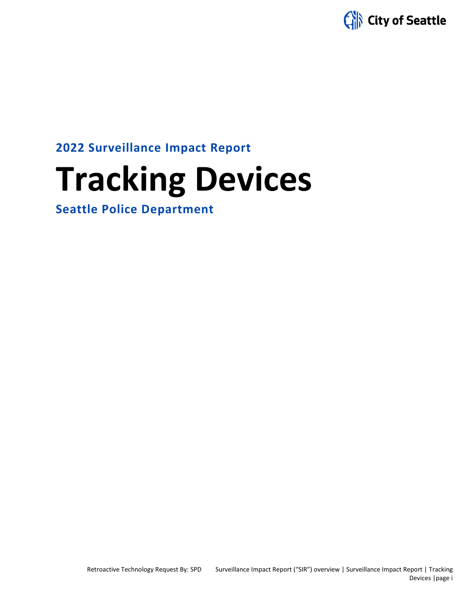

**2022 Surveillance Impact Report**

# **Tracking Devices**

**Seattle Police Department**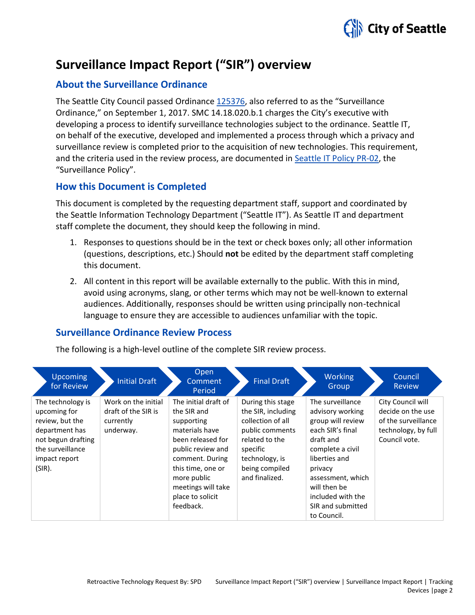

# **Surveillance Impact Report ("SIR") overview**

# **About the Surveillance Ordinance**

The Seattle City Council passed Ordinance [125376,](http://seattle.legistar.com/LegislationDetail.aspx?ID=2981172&GUID=0B2FEFC0-822F-4907-9409-E318537E5330&Options=Advanced&Search=) also referred to as the "Surveillance Ordinance," on September 1, 2017. SMC 14.18.020.b.1 charges the City's executive with developing a process to identify surveillance technologies subject to the ordinance. Seattle IT, on behalf of the executive, developed and implemented a process through which a privacy and surveillance review is completed prior to the acquisition of new technologies. This requirement, and the criteria used in the review process, are documented in Seattle IT [Policy PR-02,](https://seattlegov.sharepoint.com/sites/IT-CDR/Operating_Docs/PR-02SurveillancePolicy.pdf) the "Surveillance Policy".

# **How this Document is Completed**

This document is completed by the requesting department staff, support and coordinated by the Seattle Information Technology Department ("Seattle IT"). As Seattle IT and department staff complete the document, they should keep the following in mind.

- 1. Responses to questions should be in the text or check boxes only; all other information (questions, descriptions, etc.) Should **not** be edited by the department staff completing this document.
- 2. All content in this report will be available externally to the public. With this in mind, avoid using acronyms, slang, or other terms which may not be well-known to external audiences. Additionally, responses should be written using principally non-technical language to ensure they are accessible to audiences unfamiliar with the topic.

# **Surveillance Ordinance Review Process**

The following is a high-level outline of the complete SIR review process.

| <b>Upcoming</b><br>for Review                                                                                                               | <b>Initial Draft</b>                                                 | Open<br>Comment<br>Period                                                                                                                                                                                                   | <b>Final Draft</b>                                                                                                                                                  | <b>Working</b><br>Group                                                                                                                                                                                                                  | Council<br><b>Review</b>                                                                              |
|---------------------------------------------------------------------------------------------------------------------------------------------|----------------------------------------------------------------------|-----------------------------------------------------------------------------------------------------------------------------------------------------------------------------------------------------------------------------|---------------------------------------------------------------------------------------------------------------------------------------------------------------------|------------------------------------------------------------------------------------------------------------------------------------------------------------------------------------------------------------------------------------------|-------------------------------------------------------------------------------------------------------|
| The technology is<br>upcoming for<br>review, but the<br>department has<br>not begun drafting<br>the surveillance<br>impact report<br>(SIR). | Work on the initial<br>draft of the SIR is<br>currently<br>underway. | The initial draft of<br>the SIR and<br>supporting<br>materials have<br>been released for<br>public review and<br>comment. During<br>this time, one or<br>more public<br>meetings will take<br>place to solicit<br>feedback. | During this stage<br>the SIR, including<br>collection of all<br>public comments<br>related to the<br>specific<br>technology, is<br>being compiled<br>and finalized. | The surveillance<br>advisory working<br>group will review<br>each SIR's final<br>draft and<br>complete a civil<br>liberties and<br>privacy<br>assessment, which<br>will then be<br>included with the<br>SIR and submitted<br>to Council. | City Council will<br>decide on the use<br>of the surveillance<br>technology, by full<br>Council vote. |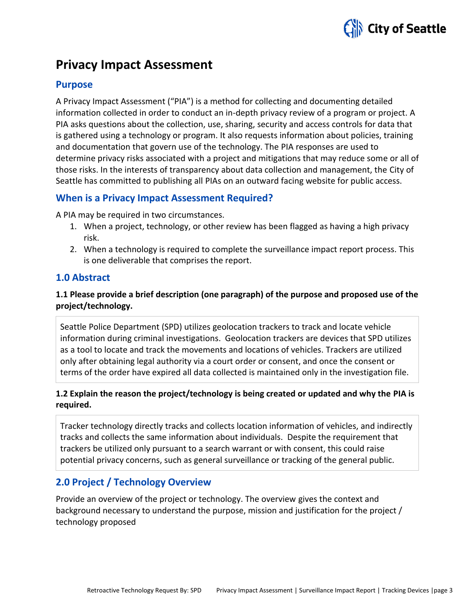

# **Privacy Impact Assessment**

# **Purpose**

A Privacy Impact Assessment ("PIA") is a method for collecting and documenting detailed information collected in order to conduct an in-depth privacy review of a program or project. A PIA asks questions about the collection, use, sharing, security and access controls for data that is gathered using a technology or program. It also requests information about policies, training and documentation that govern use of the technology. The PIA responses are used to determine privacy risks associated with a project and mitigations that may reduce some or all of those risks. In the interests of transparency about data collection and management, the City of Seattle has committed to publishing all PIAs on an outward facing website for public access.

# **When is a Privacy Impact Assessment Required?**

A PIA may be required in two circumstances.

- 1. When a project, technology, or other review has been flagged as having a high privacy risk.
- 2. When a technology is required to complete the surveillance impact report process. This is one deliverable that comprises the report.

# **1.0 Abstract**

# **1.1 Please provide a brief description (one paragraph) of the purpose and proposed use of the project/technology.**

Seattle Police Department (SPD) utilizes geolocation trackers to track and locate vehicle information during criminal investigations. Geolocation trackers are devices that SPD utilizes as a tool to locate and track the movements and locations of vehicles. Trackers are utilized only after obtaining legal authority via a court order or consent, and once the consent or terms of the order have expired all data collected is maintained only in the investigation file.

# **1.2 Explain the reason the project/technology is being created or updated and why the PIA is required.**

Tracker technology directly tracks and collects location information of vehicles, and indirectly tracks and collects the same information about individuals. Despite the requirement that trackers be utilized only pursuant to a search warrant or with consent, this could raise potential privacy concerns, such as general surveillance or tracking of the general public.

# **2.0 Project / Technology Overview**

Provide an overview of the project or technology. The overview gives the context and background necessary to understand the purpose, mission and justification for the project / technology proposed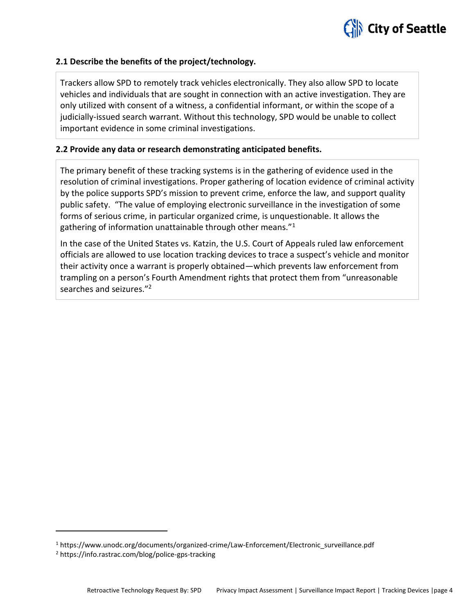

#### **2.1 Describe the benefits of the project/technology.**

Trackers allow SPD to remotely track vehicles electronically. They also allow SPD to locate vehicles and individuals that are sought in connection with an active investigation. They are only utilized with consent of a witness, a confidential informant, or within the scope of a judicially-issued search warrant. Without this technology, SPD would be unable to collect important evidence in some criminal investigations.

#### **2.2 Provide any data or research demonstrating anticipated benefits.**

The primary benefit of these tracking systems is in the gathering of evidence used in the resolution of criminal investigations. Proper gathering of location evidence of criminal activity by the police supports SPD's mission to prevent crime, enforce the law, and support quality public safety. "The value of employing electronic surveillance in the investigation of some forms of serious crime, in particular organized crime, is unquestionable. It allows the gathering of information unattainable through other means."<sup>1</sup>

In the case of the United States vs. Katzin, the U.S. Court of Appeals ruled law enforcement officials are allowed to use location tracking devices to trace a suspect's vehicle and monitor their activity once a warrant is properly obtained—which prevents law enforcement from trampling on a person's Fourth Amendment rights that protect them from "unreasonable searches and seizures."<sup>2</sup>

<sup>&</sup>lt;sup>1</sup> https://www.unodc.org/documents/organized-crime/Law-Enforcement/Electronic\_surveillance.pdf

<sup>2</sup> https://info.rastrac.com/blog/police-gps-tracking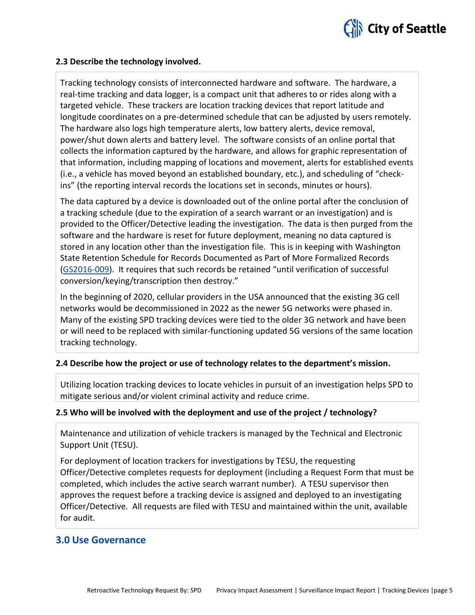

#### **2.3 Describe the technology involved.**

Tracking technology consists of interconnected hardware and software. The hardware, a real-time tracking and data logger, is a compact unit that adheres to or rides along with a targeted vehicle. These trackers are location tracking devices that report latitude and longitude coordinates on a pre-determined schedule that can be adjusted by users remotely. The hardware also logs high temperature alerts, low battery alerts, device removal, power/shut down alerts and battery level. The software consists of an online portal that collects the information captured by the hardware, and allows for graphic representation of that information, including mapping of locations and movement, alerts for established events (i.e., a vehicle has moved beyond an established boundary, etc.), and scheduling of "checkins" (the reporting interval records the locations set in seconds, minutes or hours).

The data captured by a device is downloaded out of the online portal after the conclusion of a tracking schedule (due to the expiration of a search warrant or an investigation) and is provided to the Officer/Detective leading the investigation. The data is then purged from the software and the hardware is reset for future deployment, meaning no data captured is stored in any location other than the investigation file. This is in keeping with Washington State Retention Schedule for Records Documented as Part of More Formalized Records [\(GS2016-009](https://www.sos.wa.gov/_assets/archives/recordsmanagement/local-government-common-records-retention-schedule-core-v.4.0-(may-2017).pdf)). It requires that such records be retained "until verification of successful conversion/keying/transcription then destroy."

In the beginning of 2020, cellular providers in the USA announced that the existing 3G cell networks would be decommissioned in 2022 as the newer 5G networks were phased in. Many of the existing SPD tracking devices were tied to the older 3G network and have been or will need to be replaced with similar-functioning updated 5G versions of the same location tracking technology.

#### **2.4 Describe how the project or use of technology relates to the department's mission.**

Utilizing location tracking devices to locate vehicles in pursuit of an investigation helps SPD to mitigate serious and/or violent criminal activity and reduce crime.

#### **2.5 Who will be involved with the deployment and use of the project / technology?**

Maintenance and utilization of vehicle trackers is managed by the Technical and Electronic Support Unit (TESU).

For deployment of location trackers for investigations by TESU, the requesting Officer/Detective completes requests for deployment (including a Request Form that must be completed, which includes the active search warrant number). A TESU supervisor then approves the request before a tracking device is assigned and deployed to an investigating Officer/Detective. All requests are filed with TESU and maintained within the unit, available for audit.

#### **3.0 Use Governance**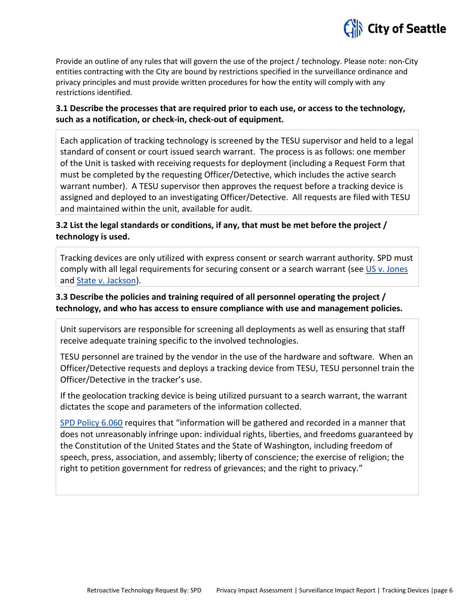

Provide an outline of any rules that will govern the use of the project / technology. Please note: non-City entities contracting with the City are bound by restrictions specified in the surveillance ordinance and privacy principles and must provide written procedures for how the entity will comply with any restrictions identified.

#### **3.1 Describe the processes that are required prior to each use, or access to the technology, such as a notification, or check-in, check-out of equipment.**

Each application of tracking technology is screened by the TESU supervisor and held to a legal standard of consent or court issued search warrant. The process is as follows: one member of the Unit is tasked with receiving requests for deployment (including a Request Form that must be completed by the requesting Officer/Detective, which includes the active search warrant number). A TESU supervisor then approves the request before a tracking device is assigned and deployed to an investigating Officer/Detective. All requests are filed with TESU and maintained within the unit, available for audit.

# **3.2 List the legal standards or conditions, if any, that must be met before the project / technology is used.**

Tracking devices are only utilized with express consent or search warrant authority. SPD must comply with all legal requirements for securing consent or a search warrant (see [US v. Jones](https://www.supremecourt.gov/opinions/11pdf/10-1259.pdf) and **State v. Jackson**).

# **3.3 Describe the policies and training required of all personnel operating the project / technology, and who has access to ensure compliance with use and management policies.**

Unit supervisors are responsible for screening all deployments as well as ensuring that staff receive adequate training specific to the involved technologies.

TESU personnel are trained by the vendor in the use of the hardware and software. When an Officer/Detective requests and deploys a tracking device from TESU, TESU personnel train the Officer/Detective in the tracker's use.

If the geolocation tracking device is being utilized pursuant to a search warrant, the warrant dictates the scope and parameters of the information collected.

[SPD Policy 6.060](http://www.seattle.gov/police-manual/title-6---arrests-search-and-seizure/6060---collection-of-information-for-law-enforcement-purposes) requires that "information will be gathered and recorded in a manner that does not unreasonably infringe upon: individual rights, liberties, and freedoms guaranteed by the Constitution of the United States and the State of Washington, including freedom of speech, press, association, and assembly; liberty of conscience; the exercise of religion; the right to petition government for redress of grievances; and the right to privacy."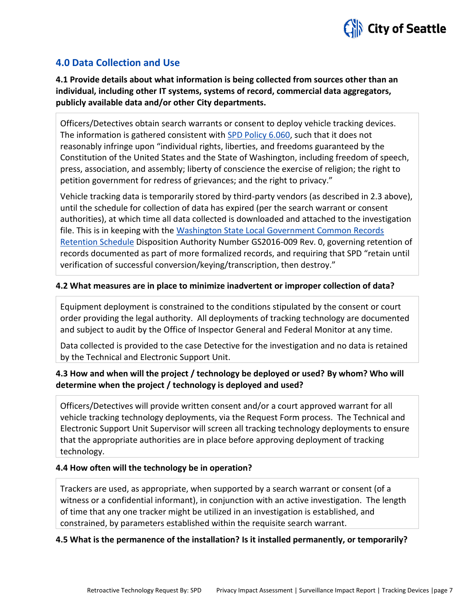

# **4.0 Data Collection and Use**

**4.1 Provide details about what information is being collected from sources other than an individual, including other IT systems, systems of record, commercial data aggregators, publicly available data and/or other City departments.**

Officers/Detectives obtain search warrants or consent to deploy vehicle tracking devices. The information is gathered consistent with [SPD Policy 6.060,](http://www.seattle.gov/police-manual/title-6---arrests-search-and-seizure/6060---collection-of-information-for-law-enforcement-purposes) such that it does not reasonably infringe upon "individual rights, liberties, and freedoms guaranteed by the Constitution of the United States and the State of Washington, including freedom of speech, press, association, and assembly; liberty of conscience the exercise of religion; the right to petition government for redress of grievances; and the right to privacy."

Vehicle tracking data is temporarily stored by third-party vendors (as described in 2.3 above), until the schedule for collection of data has expired (per the search warrant or consent authorities), at which time all data collected is downloaded and attached to the investigation file. This is in keeping with the Washington State Local Government Common Records [Retention Schedule](https://www.sos.wa.gov/_assets/archives/recordsmanagement/local-government-common-records-retention-schedule-core-v.4.0-(may-2017).pdf) Disposition Authority Number GS2016-009 Rev. 0, governing retention of records documented as part of more formalized records, and requiring that SPD "retain until verification of successful conversion/keying/transcription, then destroy."

#### **4.2 What measures are in place to minimize inadvertent or improper collection of data?**

Equipment deployment is constrained to the conditions stipulated by the consent or court order providing the legal authority. All deployments of tracking technology are documented and subject to audit by the Office of Inspector General and Federal Monitor at any time.

Data collected is provided to the case Detective for the investigation and no data is retained by the Technical and Electronic Support Unit.

# **4.3 How and when will the project / technology be deployed or used? By whom? Who will determine when the project / technology is deployed and used?**

Officers/Detectives will provide written consent and/or a court approved warrant for all vehicle tracking technology deployments, via the Request Form process. The Technical and Electronic Support Unit Supervisor will screen all tracking technology deployments to ensure that the appropriate authorities are in place before approving deployment of tracking technology.

#### **4.4 How often will the technology be in operation?**

Trackers are used, as appropriate, when supported by a search warrant or consent (of a witness or a confidential informant), in conjunction with an active investigation. The length of time that any one tracker might be utilized in an investigation is established, and constrained, by parameters established within the requisite search warrant.

#### **4.5 What is the permanence of the installation? Is it installed permanently, or temporarily?**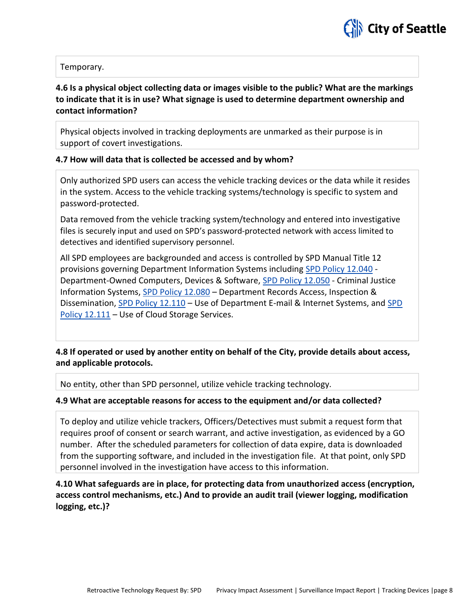

#### Temporary.

# **4.6 Is a physical object collecting data or images visible to the public? What are the markings to indicate that it is in use? What signage is used to determine department ownership and contact information?**

Physical objects involved in tracking deployments are unmarked as their purpose is in support of covert investigations.

#### **4.7 How will data that is collected be accessed and by whom?**

Only authorized SPD users can access the vehicle tracking devices or the data while it resides in the system. Access to the vehicle tracking systems/technology is specific to system and password-protected.

Data removed from the vehicle tracking system/technology and entered into investigative files is securely input and used on SPD's password-protected network with access limited to detectives and identified supervisory personnel.

All SPD employees are backgrounded and access is controlled by SPD Manual Title 12 provisions governing Department Information Systems including [SPD Policy 12.040](http://www.seattle.gov/police-manual/title-12---department-information-systems/12040---department-owned-computers-devices-and-software) - Department-Owned Computers, Devices & Software[, SPD Policy 12.050](http://www.seattle.gov/police-manual/title-12---department-information-systems/12050---criminal-justice-information-systems) - Criminal Justice Information Systems, [SPD Policy 12.080](http://www.seattle.gov/police-manual/title-12---department-information-systems/12080---department-records-access-inspection-and-dissemination) – Department Records Access, Inspection & Dissemination, [SPD Policy 12.110](http://www.seattle.gov/police-manual/title-12---department-information-systems/12110---use-of-department-e-mail-and-internet-systems) - Use of Department E-mail & Internet Systems, and SPD [Policy 12.111](http://www.seattle.gov/police-manual/title-12---department-information-systems/12111---use-of-cloud-storage-services) – Use of Cloud Storage Services.

**4.8 If operated or used by another entity on behalf of the City, provide details about access, and applicable protocols.** 

No entity, other than SPD personnel, utilize vehicle tracking technology.

#### **4.9 What are acceptable reasons for access to the equipment and/or data collected?**

To deploy and utilize vehicle trackers, Officers/Detectives must submit a request form that requires proof of consent or search warrant, and active investigation, as evidenced by a GO number. After the scheduled parameters for collection of data expire, data is downloaded from the supporting software, and included in the investigation file. At that point, only SPD personnel involved in the investigation have access to this information.

**4.10 What safeguards are in place, for protecting data from unauthorized access (encryption, access control mechanisms, etc.) And to provide an audit trail (viewer logging, modification logging, etc.)?**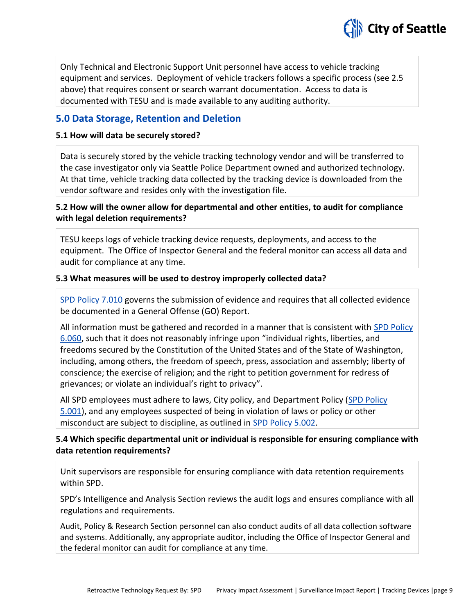

Only Technical and Electronic Support Unit personnel have access to vehicle tracking equipment and services. Deployment of vehicle trackers follows a specific process (see 2.5 above) that requires consent or search warrant documentation. Access to data is documented with TESU and is made available to any auditing authority.

# **5.0 Data Storage, Retention and Deletion**

#### **5.1 How will data be securely stored?**

Data is securely stored by the vehicle tracking technology vendor and will be transferred to the case investigator only via Seattle Police Department owned and authorized technology. At that time, vehicle tracking data collected by the tracking device is downloaded from the vendor software and resides only with the investigation file.

# **5.2 How will the owner allow for departmental and other entities, to audit for compliance with legal deletion requirements?**

TESU keeps logs of vehicle tracking device requests, deployments, and access to the equipment. The Office of Inspector General and the federal monitor can access all data and audit for compliance at any time.

#### **5.3 What measures will be used to destroy improperly collected data?**

[SPD Policy 7.010](http://www.seattle.gov/police-manual/title-7---evidence-and-property/7010---submitting-evidence) governs the submission of evidence and requires that all collected evidence be documented in a General Offense (GO) Report.

All information must be gathered and recorded in a manner that is consistent with [SPD Policy](http://www.seattle.gov/police-manual/title-6---arrests-search-and-seizure/6060---collection-of-information-for-law-enforcement-purposes)  [6.060](http://www.seattle.gov/police-manual/title-6---arrests-search-and-seizure/6060---collection-of-information-for-law-enforcement-purposes), such that it does not reasonably infringe upon "individual rights, liberties, and freedoms secured by the Constitution of the United States and of the State of Washington, including, among others, the freedom of speech, press, association and assembly; liberty of conscience; the exercise of religion; and the right to petition government for redress of grievances; or violate an individual's right to privacy".

All SPD employees must adhere to laws, City policy, and Department Policy [\(SPD Policy](http://www.seattle.gov/police-manual/title-5---employee-conduct/5001---standards-and-duties)  [5.001\)](http://www.seattle.gov/police-manual/title-5---employee-conduct/5001---standards-and-duties), and any employees suspected of being in violation of laws or policy or other misconduct are subject to discipline, as outlined in [SPD Policy 5.002.](http://www.seattle.gov/police-manual/title-5---employee-conduct/5002---responsibilities-of-employees-concerning-alleged-policy-violations)

# **5.4 Which specific departmental unit or individual is responsible for ensuring compliance with data retention requirements?**

Unit supervisors are responsible for ensuring compliance with data retention requirements within SPD.

SPD's Intelligence and Analysis Section reviews the audit logs and ensures compliance with all regulations and requirements.

Audit, Policy & Research Section personnel can also conduct audits of all data collection software and systems. Additionally, any appropriate auditor, including the Office of Inspector General and the federal monitor can audit for compliance at any time.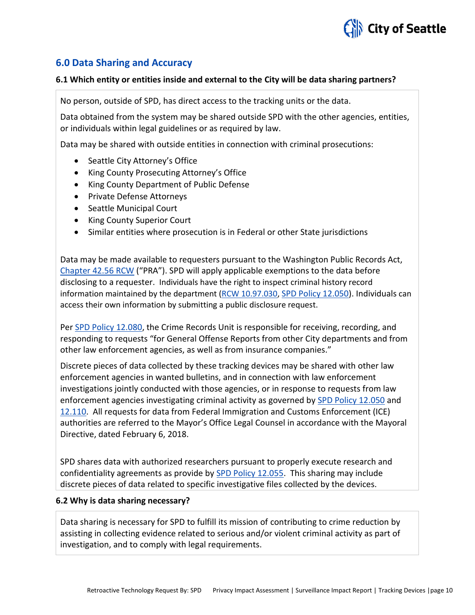

# **6.0 Data Sharing and Accuracy**

#### **6.1 Which entity or entities inside and external to the City will be data sharing partners?**

No person, outside of SPD, has direct access to the tracking units or the data.

Data obtained from the system may be shared outside SPD with the other agencies, entities, or individuals within legal guidelines or as required by law.

Data may be shared with outside entities in connection with criminal prosecutions:

- Seattle City Attorney's Office
- King County Prosecuting Attorney's Office
- King County Department of Public Defense
- Private Defense Attorneys
- Seattle Municipal Court
- King County Superior Court
- Similar entities where prosecution is in Federal or other State jurisdictions

Data may be made available to requesters pursuant to the Washington Public Records Act, [Chapter 42.56 RCW](http://apps.leg.wa.gov/RCW/default.aspx?cite=42.56) ("PRA"). SPD will apply applicable exemptions to the data before disclosing to a requester. Individuals have the right to inspect criminal history record information maintained by the department [\(RCW 10.97.030,](http://app.leg.wa.gov/rcw/default.aspx?cite=10.97.030) [SPD Policy 12.050\)](http://www.seattle.gov/police-manual/title-12---department-information-systems/12050---criminal-justice-information-systems). Individuals can access their own information by submitting a public disclosure request.

Pe[r SPD Policy 12.080,](http://www.seattle.gov/police-manual/title-12---department-information-systems/12080---department-records-access-inspection-and-dissemination) the Crime Records Unit is responsible for receiving, recording, and responding to requests "for General Offense Reports from other City departments and from other law enforcement agencies, as well as from insurance companies."

Discrete pieces of data collected by these tracking devices may be shared with other law enforcement agencies in wanted bulletins, and in connection with law enforcement investigations jointly conducted with those agencies, or in response to requests from law enforcement agencies investigating criminal activity as governed by [SPD Policy 12.050](http://www.seattle.gov/police-manual/title-12---department-information-systems/12050---criminal-justice-information-systems) and [12.110.](http://www.seattle.gov/police-manual/title-12---department-information-systems/12110---use-of-department-e-mail-and-internet-systems) All requests for data from Federal Immigration and Customs Enforcement (ICE) authorities are referred to the Mayor's Office Legal Counsel in accordance with the Mayoral Directive, dated February 6, 2018.

SPD shares data with authorized researchers pursuant to properly execute research and confidentiality agreements as provide by [SPD Policy 12.055.](http://www.seattle.gov/police-manual/title-12---department-information-systems/12055---criminal-justice-research) This sharing may include discrete pieces of data related to specific investigative files collected by the devices.

#### **6.2 Why is data sharing necessary?**

Data sharing is necessary for SPD to fulfill its mission of contributing to crime reduction by assisting in collecting evidence related to serious and/or violent criminal activity as part of investigation, and to comply with legal requirements.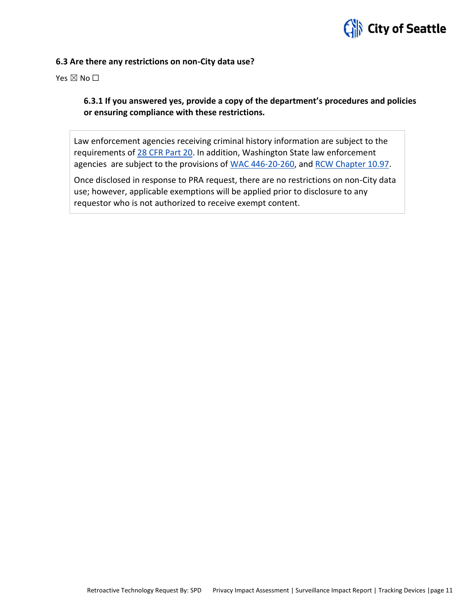

#### **6.3 Are there any restrictions on non-City data use?**

Yes  $\boxtimes$  No  $\square$ 

# **6.3.1 If you answered yes, provide a copy of the department's procedures and policies or ensuring compliance with these restrictions.**

Law enforcement agencies receiving criminal history information are subject to the requirements of [28 CFR Part 20.](https://www.ecfr.gov/cgi-bin/text-idx?tpl=/ecfrbrowse/Title28/28cfr20_main_02.tpl) In addition, Washington State law enforcement agencies are subject to the provisions of [WAC 446-20-260,](http://apps.leg.wa.gov/wac/default.aspx?cite=446-20-260) and [RCW Chapter 10.97.](http://app.leg.wa.gov/rcw/default.aspx?cite=10.97)

Once disclosed in response to PRA request, there are no restrictions on non-City data use; however, applicable exemptions will be applied prior to disclosure to any requestor who is not authorized to receive exempt content.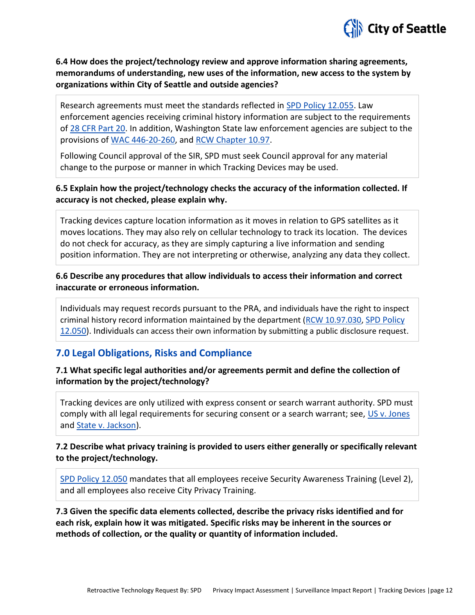

# **6.4 How does the project/technology review and approve information sharing agreements, memorandums of understanding, new uses of the information, new access to the system by organizations within City of Seattle and outside agencies?**

Research agreements must meet the standards reflected in [SPD Policy 12.055.](http://www.seattle.gov/police-manual/title-12---department-information-systems/12055---criminal-justice-research) Law enforcement agencies receiving criminal history information are subject to the requirements of [28 CFR Part 20.](https://www.ecfr.gov/cgi-bin/text-idx?tpl=/ecfrbrowse/Title28/28cfr20_main_02.tpl) In addition, Washington State law enforcement agencies are subject to the provisions of [WAC 446-20-260,](http://apps.leg.wa.gov/wac/default.aspx?cite=446-20-260) and [RCW Chapter 10.97.](http://app.leg.wa.gov/rcw/default.aspx?cite=10.97)

Following Council approval of the SIR, SPD must seek Council approval for any material change to the purpose or manner in which Tracking Devices may be used.

#### **6.5 Explain how the project/technology checks the accuracy of the information collected. If accuracy is not checked, please explain why.**

Tracking devices capture location information as it moves in relation to GPS satellites as it moves locations. They may also rely on cellular technology to track its location. The devices do not check for accuracy, as they are simply capturing a live information and sending position information. They are not interpreting or otherwise, analyzing any data they collect.

#### **6.6 Describe any procedures that allow individuals to access their information and correct inaccurate or erroneous information.**

Individuals may request records pursuant to the PRA, and individuals have the right to inspect criminal history record information maintained by the department [\(RCW 10.97.030,](http://app.leg.wa.gov/rcw/default.aspx?cite=10.97.030) [SPD Policy](http://www.seattle.gov/police-manual/title-12---department-information-systems/12050---criminal-justice-information-systems)  [12.050\)](http://www.seattle.gov/police-manual/title-12---department-information-systems/12050---criminal-justice-information-systems). Individuals can access their own information by submitting a public disclosure request.

# **7.0 Legal Obligations, Risks and Compliance**

# **7.1 What specific legal authorities and/or agreements permit and define the collection of information by the project/technology?**

Tracking devices are only utilized with express consent or search warrant authority. SPD must comply with all legal requirements for securing consent or a search warrant; see, [US v. Jones](https://www.supremecourt.gov/opinions/11pdf/10-1259.pdf) and [State v. Jackson\)](http://courts.mrsc.org/supreme/150wn2d/150wn2d0251.htm).

# **7.2 Describe what privacy training is provided to users either generally or specifically relevant to the project/technology.**

[SPD Policy 12.050](http://www.seattle.gov/police-manual/title-12---department-information-systems/12050---criminal-justice-information-systems) mandates that all employees receive Security Awareness Training (Level 2), and all employees also receive City Privacy Training.

**7.3 Given the specific data elements collected, describe the privacy risks identified and for each risk, explain how it was mitigated. Specific risks may be inherent in the sources or methods of collection, or the quality or quantity of information included.**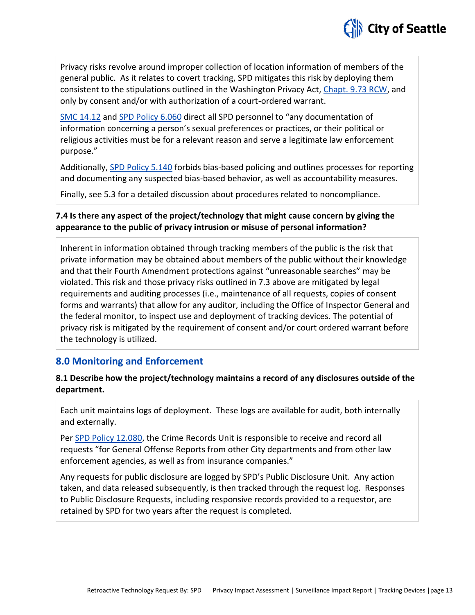

Privacy risks revolve around improper collection of location information of members of the general public. As it relates to covert tracking, SPD mitigates this risk by deploying them consistent to the stipulations outlined in the Washington Privacy Act, [Chapt. 9.73 RCW,](http://app.leg.wa.gov/rcw/default.aspx?cite=9.73) and only by consent and/or with authorization of a court-ordered warrant.

[SMC 14.12](http://clerk.ci.seattle.wa.us/~public/toc/14-12.htm) an[d SPD Policy 6.060](http://www.seattle.gov/police-manual/title-6---arrests-search-and-seizure/6060---collection-of-information-for-law-enforcement-purposes) direct all SPD personnel to "any documentation of information concerning a person's sexual preferences or practices, or their political or religious activities must be for a relevant reason and serve a legitimate law enforcement purpose."

Additionally, [SPD Policy 5.140](http://www.seattle.gov/police-manual/title-5---employee-conduct/5140---bias-free-policing) forbids bias-based policing and outlines processes for reporting and documenting any suspected bias-based behavior, as well as accountability measures.

Finally, see 5.3 for a detailed discussion about procedures related to noncompliance.

# **7.4 Is there any aspect of the project/technology that might cause concern by giving the appearance to the public of privacy intrusion or misuse of personal information?**

Inherent in information obtained through tracking members of the public is the risk that private information may be obtained about members of the public without their knowledge and that their Fourth Amendment protections against "unreasonable searches" may be violated. This risk and those privacy risks outlined in 7.3 above are mitigated by legal requirements and auditing processes (i.e., maintenance of all requests, copies of consent forms and warrants) that allow for any auditor, including the Office of Inspector General and the federal monitor, to inspect use and deployment of tracking devices. The potential of privacy risk is mitigated by the requirement of consent and/or court ordered warrant before the technology is utilized.

# **8.0 Monitoring and Enforcement**

# **8.1 Describe how the project/technology maintains a record of any disclosures outside of the department.**

Each unit maintains logs of deployment. These logs are available for audit, both internally and externally.

Pe[r SPD Policy 12.080,](http://www.seattle.gov/police-manual/title-12---department-information-systems/12080---department-records-access-inspection-and-dissemination) the Crime Records Unit is responsible to receive and record all requests "for General Offense Reports from other City departments and from other law enforcement agencies, as well as from insurance companies."

Any requests for public disclosure are logged by SPD's Public Disclosure Unit. Any action taken, and data released subsequently, is then tracked through the request log. Responses to Public Disclosure Requests, including responsive records provided to a requestor, are retained by SPD for two years after the request is completed.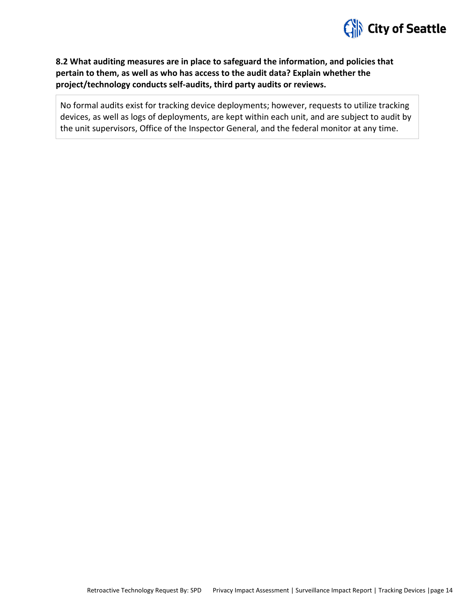

# **8.2 What auditing measures are in place to safeguard the information, and policies that pertain to them, as well as who has access to the audit data? Explain whether the project/technology conducts self-audits, third party audits or reviews.**

No formal audits exist for tracking device deployments; however, requests to utilize tracking devices, as well as logs of deployments, are kept within each unit, and are subject to audit by the unit supervisors, Office of the Inspector General, and the federal monitor at any time.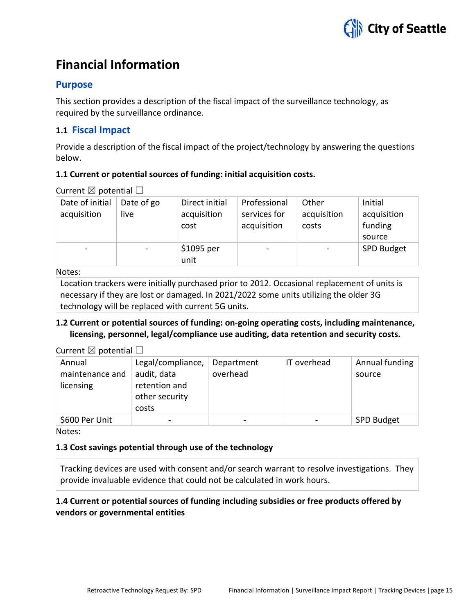

# **Financial Information**

# **Purpose**

This section provides a description of the fiscal impact of the surveillance technology, as required by the surveillance ordinance.

# **1.1 Fiscal Impact**

Provide a description of the fiscal impact of the project/technology by answering the questions below.

#### **1.1 Current or potential sources of funding: initial acquisition costs.**

Current  $\boxtimes$  potential  $\Box$ 

| Date of initial<br>acquisition | Date of go<br>live | Direct initial<br>acquisition<br>cost | Professional<br>services for<br>acquisition | Other<br>acquisition<br>costs | Initial<br>acquisition<br>funding<br>source |
|--------------------------------|--------------------|---------------------------------------|---------------------------------------------|-------------------------------|---------------------------------------------|
| $\qquad \qquad$                |                    | \$1095 per<br>unit                    | $\overline{\phantom{a}}$                    |                               | SPD Budget                                  |

Notes:

Location trackers were initially purchased prior to 2012. Occasional replacement of units is necessary if they are lost or damaged. In 2021/2022 some units utilizing the older 3G technology will be replaced with current 5G units.

# **1.2 Current or potential sources of funding: on-going operating costs, including maintenance, licensing, personnel, legal/compliance use auditing, data retention and security costs.**

#### Current  $\boxtimes$  potential  $\Box$

| Annual<br>maintenance and<br>licensing | Legal/compliance,<br>audit, data<br>retention and<br>other security<br>costs | Department<br>overhead | IT overhead | Annual funding<br>source |
|----------------------------------------|------------------------------------------------------------------------------|------------------------|-------------|--------------------------|
| \$600 Per Unit                         | $\overline{\phantom{0}}$                                                     |                        |             | SPD Budget               |

Notes:

#### **1.3 Cost savings potential through use of the technology**

Tracking devices are used with consent and/or search warrant to resolve investigations. They provide invaluable evidence that could not be calculated in work hours.

# **1.4 Current or potential sources of funding including subsidies or free products offered by vendors or governmental entities**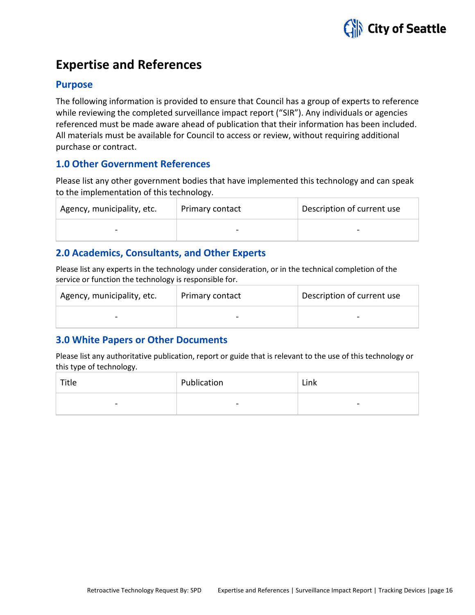

# **Expertise and References**

# **Purpose**

The following information is provided to ensure that Council has a group of experts to reference while reviewing the completed surveillance impact report ("SIR"). Any individuals or agencies referenced must be made aware ahead of publication that their information has been included. All materials must be available for Council to access or review, without requiring additional purchase or contract.

# **1.0 Other Government References**

Please list any other government bodies that have implemented this technology and can speak to the implementation of this technology.

| Agency, municipality, etc. | Primary contact          | Description of current use |
|----------------------------|--------------------------|----------------------------|
| $\qquad \qquad$            | $\overline{\phantom{0}}$ |                            |

# **2.0 Academics, Consultants, and Other Experts**

Please list any experts in the technology under consideration, or in the technical completion of the service or function the technology is responsible for.

| Agency, municipality, etc. | Primary contact | Description of current use |
|----------------------------|-----------------|----------------------------|
| $\overline{\phantom{0}}$   |                 |                            |

# **3.0 White Papers or Other Documents**

Please list any authoritative publication, report or guide that is relevant to the use of this technology or this type of technology.

| Title          | Publication   | Link           |
|----------------|---------------|----------------|
| $\blacksquare$ | $\hskip1em -$ | $\blacksquare$ |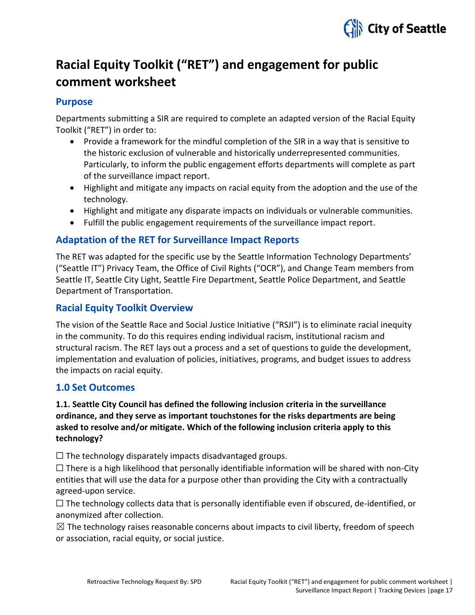

# **Racial Equity Toolkit ("RET") and engagement for public comment worksheet**

# **Purpose**

Departments submitting a SIR are required to complete an adapted version of the Racial Equity Toolkit ("RET") in order to:

- Provide a framework for the mindful completion of the SIR in a way that is sensitive to the historic exclusion of vulnerable and historically underrepresented communities. Particularly, to inform the public engagement efforts departments will complete as part of the surveillance impact report.
- Highlight and mitigate any impacts on racial equity from the adoption and the use of the technology.
- Highlight and mitigate any disparate impacts on individuals or vulnerable communities.
- Fulfill the public engagement requirements of the surveillance impact report.

# **Adaptation of the RET for Surveillance Impact Reports**

The RET was adapted for the specific use by the Seattle Information Technology Departments' ("Seattle IT") Privacy Team, the Office of Civil Rights ("OCR"), and Change Team members from Seattle IT, Seattle City Light, Seattle Fire Department, Seattle Police Department, and Seattle Department of Transportation.

# **Racial Equity Toolkit Overview**

The vision of the Seattle Race and Social Justice Initiative ("RSJI") is to eliminate racial inequity in the community. To do this requires ending individual racism, institutional racism and structural racism. The RET lays out a process and a set of questions to guide the development, implementation and evaluation of policies, initiatives, programs, and budget issues to address the impacts on racial equity.

# **1.0 Set Outcomes**

# **1.1. Seattle City Council has defined the following inclusion criteria in the surveillance ordinance, and they serve as important touchstones for the risks departments are being asked to resolve and/or mitigate. Which of the following inclusion criteria apply to this technology?**

 $\Box$  The technology disparately impacts disadvantaged groups.

 $\Box$  There is a high likelihood that personally identifiable information will be shared with non-City entities that will use the data for a purpose other than providing the City with a contractually agreed-upon service.

 $\Box$  The technology collects data that is personally identifiable even if obscured, de-identified, or anonymized after collection.

 $\boxtimes$  The technology raises reasonable concerns about impacts to civil liberty, freedom of speech or association, racial equity, or social justice.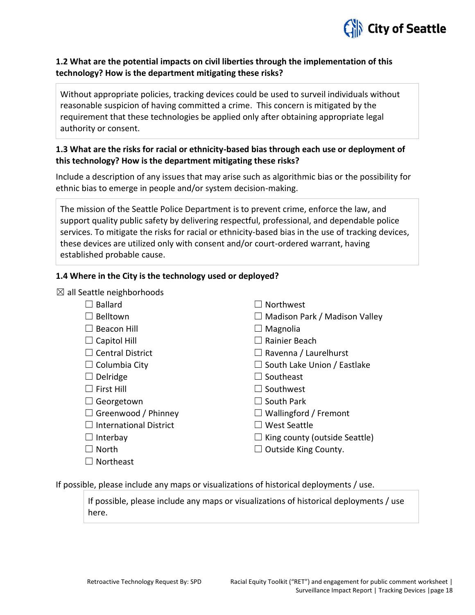

# **1.2 What are the potential impacts on civil liberties through the implementation of this technology? How is the department mitigating these risks?**

Without appropriate policies, tracking devices could be used to surveil individuals without reasonable suspicion of having committed a crime. This concern is mitigated by the requirement that these technologies be applied only after obtaining appropriate legal authority or consent.

# **1.3 What are the risks for racial or ethnicity-based bias through each use or deployment of this technology? How is the department mitigating these risks?**

Include a description of any issues that may arise such as algorithmic bias or the possibility for ethnic bias to emerge in people and/or system decision-making.

The mission of the Seattle Police Department is to prevent crime, enforce the law, and support quality public safety by delivering respectful, professional, and dependable police services. To mitigate the risks for racial or ethnicity-based bias in the use of tracking devices, these devices are utilized only with consent and/or court-ordered warrant, having established probable cause.

# **1.4 Where in the City is the technology used or deployed?**

 $\boxtimes$  all Seattle neighborhoods

| <b>Ballard</b>                | l I Northwest                        |
|-------------------------------|--------------------------------------|
| Belltown                      | $\Box$ Madison Park / Madison Valley |
| <b>Beacon Hill</b>            | $\Box$ Magnolia                      |
| Capitol Hill                  | ∣∣Rainier Beach                      |
| <b>Central District</b>       | $\Box$ Ravenna / Laurelhurst         |
| Columbia City                 | $\Box$ South Lake Union / Eastlake   |
| Delridge                      | $\Box$ Southeast                     |
| First Hill                    | $\Box$ Southwest                     |
| Georgetown                    | l   South Park                       |
| Greenwood / Phinney           | $\Box$ Wallingford / Fremont         |
| <b>International District</b> | l I West Seattle                     |
| Interbay                      | $\Box$ King county (outside Seattle) |
| <b>North</b>                  | <b>Outside King County.</b>          |
| Northeast                     |                                      |
|                               |                                      |

If possible, please include any maps or visualizations of historical deployments / use.

If possible, please include any maps or visualizations of historical deployments / use here.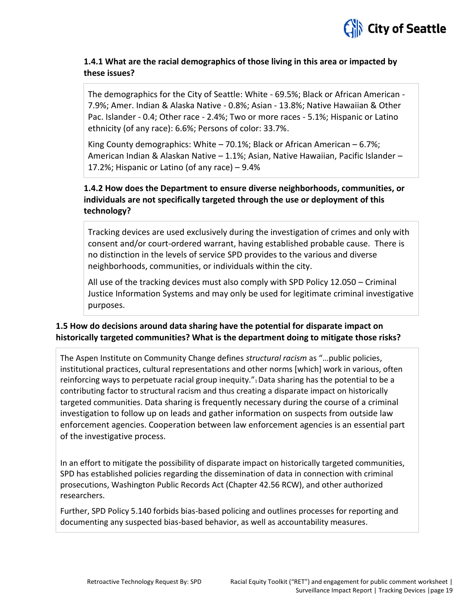

# **1.4.1 What are the racial demographics of those living in this area or impacted by these issues?**

The demographics for the City of Seattle: White - 69.5%; Black or African American - 7.9%; Amer. Indian & Alaska Native - 0.8%; Asian - 13.8%; Native Hawaiian & Other Pac. Islander - 0.4; Other race - 2.4%; Two or more races - 5.1%; Hispanic or Latino ethnicity (of any race): 6.6%; Persons of color: 33.7%.

King County demographics: White  $-70.1\%$ ; Black or African American  $-6.7\%$ ; American Indian & Alaskan Native – 1.1%; Asian, Native Hawaiian, Pacific Islander – 17.2%; Hispanic or Latino (of any race) – 9.4%

# **1.4.2 How does the Department to ensure diverse neighborhoods, communities, or individuals are not specifically targeted through the use or deployment of this technology?**

Tracking devices are used exclusively during the investigation of crimes and only with consent and/or court-ordered warrant, having established probable cause. There is no distinction in the levels of service SPD provides to the various and diverse neighborhoods, communities, or individuals within the city.

All use of the tracking devices must also comply with SPD Policy 12.050 – Criminal Justice Information Systems and may only be used for legitimate criminal investigative purposes.

# **1.5 How do decisions around data sharing have the potential for disparate impact on historically targeted communities? What is the department doing to mitigate those risks?**

The Aspen Institute on Community Change defines *structural racism* as "…public policies, institutional practices, cultural representations and other norms [which] work in various, often reinforcing ways to perpetuate racial group inequity."<sup>1</sup> Data sharing has the potential to be a contributing factor to structural racism and thus creating a disparate impact on historically targeted communities. Data sharing is frequently necessary during the course of a criminal investigation to follow up on leads and gather information on suspects from outside law enforcement agencies. Cooperation between law enforcement agencies is an essential part of the investigative process.

In an effort to mitigate the possibility of disparate impact on historically targeted communities, SPD has established policies regarding the dissemination of data in connection with criminal prosecutions, Washington Public Records Act (Chapter 42.56 RCW), and other authorized researchers.

Further, SPD Policy 5.140 forbids bias-based policing and outlines processes for reporting and documenting any suspected bias-based behavior, as well as accountability measures.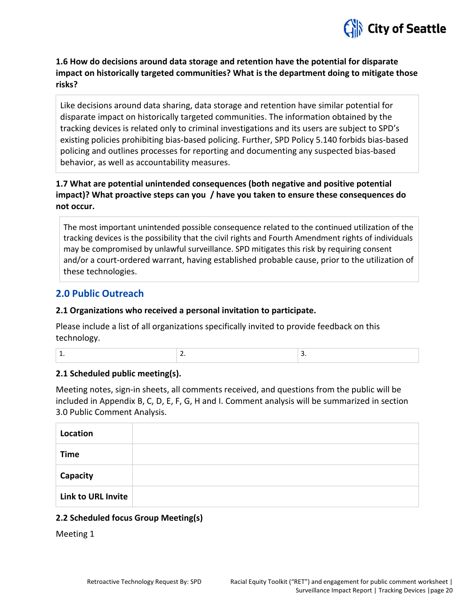

**1.6 How do decisions around data storage and retention have the potential for disparate impact on historically targeted communities? What is the department doing to mitigate those risks?** 

Like decisions around data sharing, data storage and retention have similar potential for disparate impact on historically targeted communities. The information obtained by the tracking devices is related only to criminal investigations and its users are subject to SPD's existing policies prohibiting bias-based policing. Further, SPD Policy 5.140 forbids bias-based policing and outlines processes for reporting and documenting any suspected bias-based behavior, as well as accountability measures.

# **1.7 What are potential unintended consequences (both negative and positive potential impact)? What proactive steps can you / have you taken to ensure these consequences do not occur.**

The most important unintended possible consequence related to the continued utilization of the tracking devices is the possibility that the civil rights and Fourth Amendment rights of individuals may be compromised by unlawful surveillance. SPD mitigates this risk by requiring consent and/or a court-ordered warrant, having established probable cause, prior to the utilization of these technologies.

# **2.0 Public Outreach**

#### **2.1 Organizations who received a personal invitation to participate.**

Please include a list of all organizations specifically invited to provide feedback on this technology.

| - |  |
|---|--|
|   |  |

#### **2.1 Scheduled public meeting(s).**

Meeting notes, sign-in sheets, all comments received, and questions from the public will be included in Appendix B, C, D, E, F, G, H and I. Comment analysis will be summarized in section 3.0 Public Comment Analysis.

| Location                  |  |
|---------------------------|--|
| <b>Time</b>               |  |
| Capacity                  |  |
| <b>Link to URL Invite</b> |  |

#### **2.2 Scheduled focus Group Meeting(s)**

Meeting 1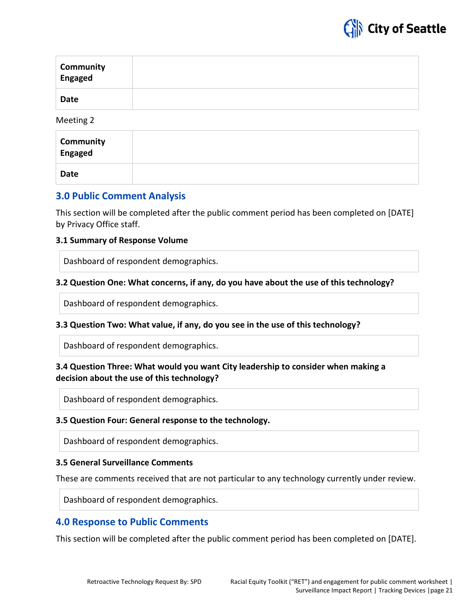

| <b>Community</b><br>Engaged |  |
|-----------------------------|--|
| <b>Date</b>                 |  |

Meeting 2

| <b>Community</b><br>Engaged |  |
|-----------------------------|--|
| Date                        |  |

# **3.0 Public Comment Analysis**

This section will be completed after the public comment period has been completed on [DATE] by Privacy Office staff.

#### **3.1 Summary of Response Volume**

Dashboard of respondent demographics.

#### **3.2 Question One: What concerns, if any, do you have about the use of this technology?**

Dashboard of respondent demographics.

#### **3.3 Question Two: What value, if any, do you see in the use of this technology?**

Dashboard of respondent demographics.

# **3.4 Question Three: What would you want City leadership to consider when making a decision about the use of this technology?**

Dashboard of respondent demographics.

#### **3.5 Question Four: General response to the technology.**

Dashboard of respondent demographics.

#### **3.5 General Surveillance Comments**

These are comments received that are not particular to any technology currently under review.

Dashboard of respondent demographics.

# **4.0 Response to Public Comments**

This section will be completed after the public comment period has been completed on [DATE].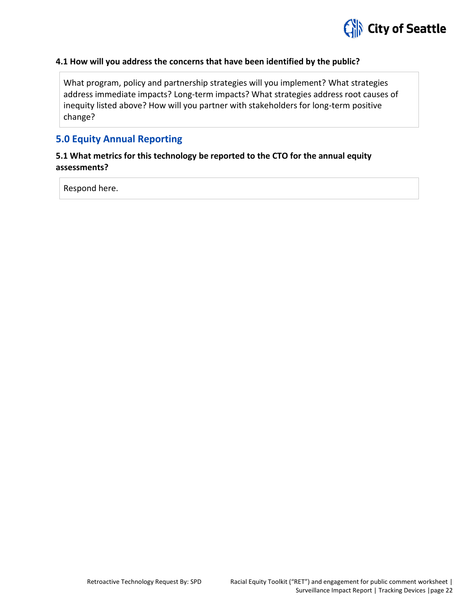

#### **4.1 How will you address the concerns that have been identified by the public?**

What program, policy and partnership strategies will you implement? What strategies address immediate impacts? Long-term impacts? What strategies address root causes of inequity listed above? How will you partner with stakeholders for long-term positive change?

# **5.0 Equity Annual Reporting**

# **5.1 What metrics for this technology be reported to the CTO for the annual equity assessments?**

Respond here.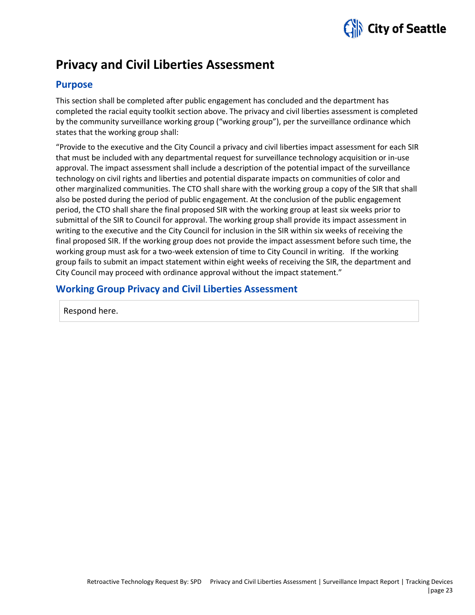

# **Privacy and Civil Liberties Assessment**

# **Purpose**

This section shall be completed after public engagement has concluded and the department has completed the racial equity toolkit section above. The privacy and civil liberties assessment is completed by the community surveillance working group ("working group"), per the surveillance ordinance which states that the working group shall:

"Provide to the executive and the City Council a privacy and civil liberties impact assessment for each SIR that must be included with any departmental request for surveillance technology acquisition or in-use approval. The impact assessment shall include a description of the potential impact of the surveillance technology on civil rights and liberties and potential disparate impacts on communities of color and other marginalized communities. The CTO shall share with the working group a copy of the SIR that shall also be posted during the period of public engagement. At the conclusion of the public engagement period, the CTO shall share the final proposed SIR with the working group at least six weeks prior to submittal of the SIR to Council for approval. The working group shall provide its impact assessment in writing to the executive and the City Council for inclusion in the SIR within six weeks of receiving the final proposed SIR. If the working group does not provide the impact assessment before such time, the working group must ask for a two-week extension of time to City Council in writing. If the working group fails to submit an impact statement within eight weeks of receiving the SIR, the department and City Council may proceed with ordinance approval without the impact statement."

# **Working Group Privacy and Civil Liberties Assessment**

Respond here.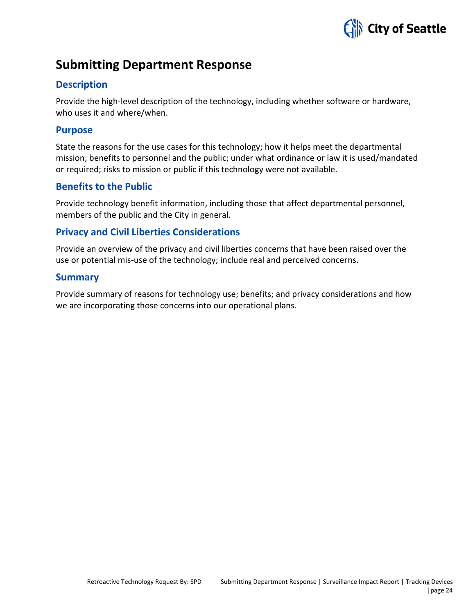

# **Submitting Department Response**

# **Description**

Provide the high-level description of the technology, including whether software or hardware, who uses it and where/when.

# **Purpose**

State the reasons for the use cases for this technology; how it helps meet the departmental mission; benefits to personnel and the public; under what ordinance or law it is used/mandated or required; risks to mission or public if this technology were not available.

# **Benefits to the Public**

Provide technology benefit information, including those that affect departmental personnel, members of the public and the City in general.

# **Privacy and Civil Liberties Considerations**

Provide an overview of the privacy and civil liberties concerns that have been raised over the use or potential mis-use of the technology; include real and perceived concerns.

# **Summary**

Provide summary of reasons for technology use; benefits; and privacy considerations and how we are incorporating those concerns into our operational plans.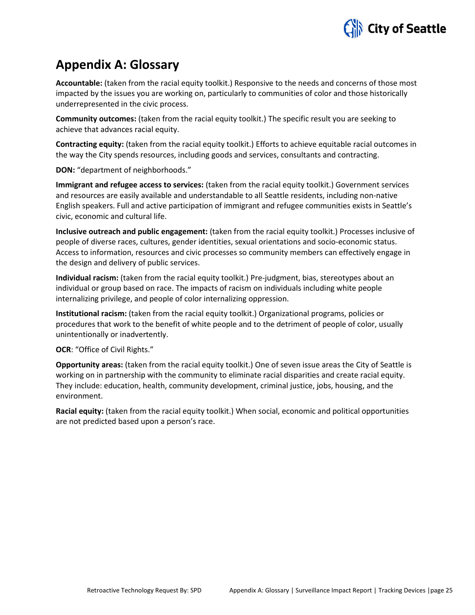

# **Appendix A: Glossary**

**Accountable:** (taken from the racial equity toolkit.) Responsive to the needs and concerns of those most impacted by the issues you are working on, particularly to communities of color and those historically underrepresented in the civic process.

**Community outcomes:** (taken from the racial equity toolkit.) The specific result you are seeking to achieve that advances racial equity.

**Contracting equity:** (taken from the racial equity toolkit.) Efforts to achieve equitable racial outcomes in the way the City spends resources, including goods and services, consultants and contracting.

**DON:** "department of neighborhoods."

**Immigrant and refugee access to services:** (taken from the racial equity toolkit.) Government services and resources are easily available and understandable to all Seattle residents, including non-native English speakers. Full and active participation of immigrant and refugee communities exists in Seattle's civic, economic and cultural life.

**Inclusive outreach and public engagement:** (taken from the racial equity toolkit.) Processes inclusive of people of diverse races, cultures, gender identities, sexual orientations and socio-economic status. Access to information, resources and civic processes so community members can effectively engage in the design and delivery of public services.

**Individual racism:** (taken from the racial equity toolkit.) Pre-judgment, bias, stereotypes about an individual or group based on race. The impacts of racism on individuals including white people internalizing privilege, and people of color internalizing oppression.

**Institutional racism:** (taken from the racial equity toolkit.) Organizational programs, policies or procedures that work to the benefit of white people and to the detriment of people of color, usually unintentionally or inadvertently.

**OCR**: "Office of Civil Rights."

**Opportunity areas:** (taken from the racial equity toolkit.) One of seven issue areas the City of Seattle is working on in partnership with the community to eliminate racial disparities and create racial equity. They include: education, health, community development, criminal justice, jobs, housing, and the environment.

**Racial equity:** (taken from the racial equity toolkit.) When social, economic and political opportunities are not predicted based upon a person's race.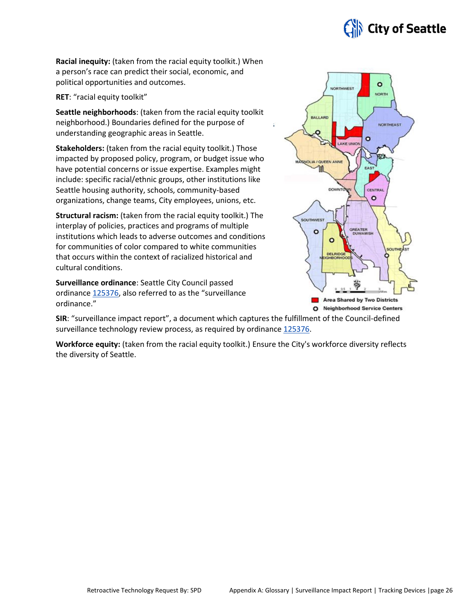

**Racial inequity:** (taken from the racial equity toolkit.) When a person's race can predict their social, economic, and political opportunities and outcomes.

**RET**: "racial equity toolkit"

**Seattle neighborhoods**: (taken from the racial equity toolkit neighborhood.) Boundaries defined for the purpose of understanding geographic areas in Seattle.

**Stakeholders:** (taken from the racial equity toolkit.) Those impacted by proposed policy, program, or budget issue who have potential concerns or issue expertise. Examples might include: specific racial/ethnic groups, other institutions like Seattle housing authority, schools, community-based organizations, change teams, City employees, unions, etc.

**Structural racism:** (taken from the racial equity toolkit.) The interplay of policies, practices and programs of multiple institutions which leads to adverse outcomes and conditions for communities of color compared to white communities that occurs within the context of racialized historical and cultural conditions.

**Surveillance ordinance**: Seattle City Council passed ordinance [125376,](http://seattle.legistar.com/LegislationDetail.aspx?ID=2981172&GUID=0B2FEFC0-822F-4907-9409-E318537E5330&Options=Advanced&Search=) also referred to as the "surveillance ordinance."



**SIR**: "surveillance impact report", a document which captures the fulfillment of the Council-defined surveillance technology review process, as required by ordinanc[e 125376.](http://seattle.legistar.com/LegislationDetail.aspx?ID=2981172&GUID=0B2FEFC0-822F-4907-9409-E318537E5330&Options=Advanced&Search=)

**Workforce equity:** (taken from the racial equity toolkit.) Ensure the City's workforce diversity reflects the diversity of Seattle.